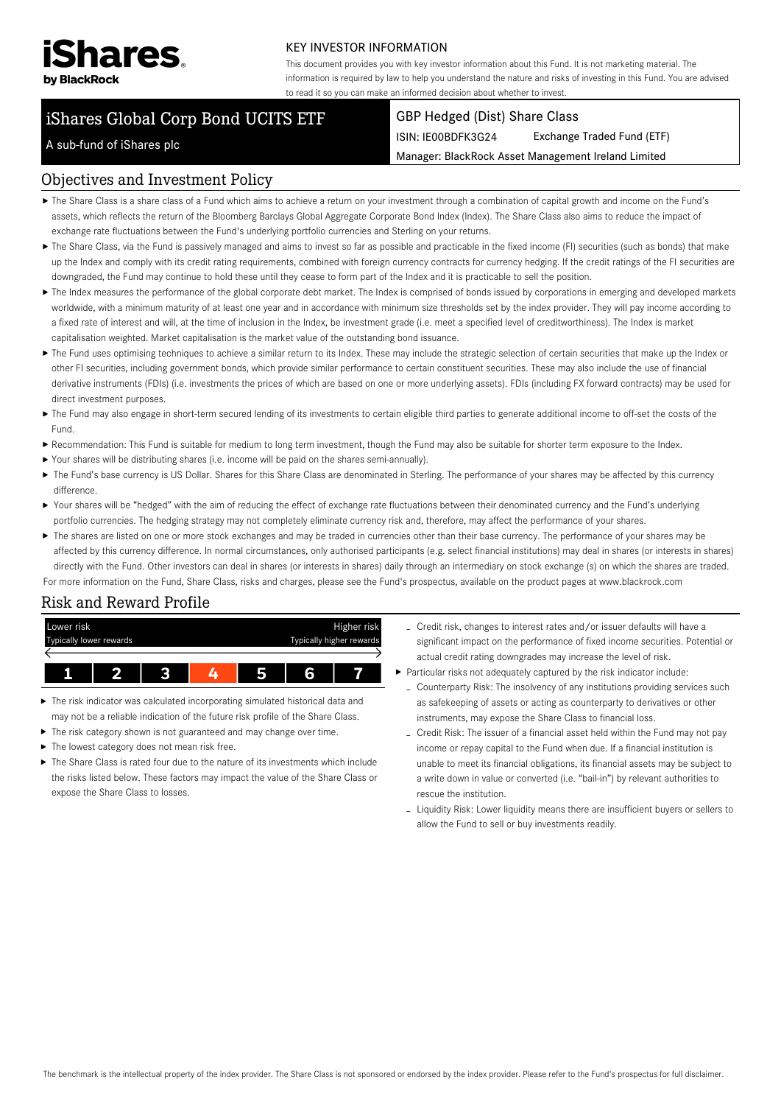

#### KEY INVESTOR INFORMATION

This document provides you with key investor information about this Fund. It is not marketing material. The information is required by law to help you understand the nature and risks of investing in this Fund. You are advised to read it so you can make an informed decision about whether to invest.

# iShares Global Corp Bond UCITS ETF

#### GBP Hedged (Dist) Share Class

ISIN: IE00BDFK3G24 Exchange Traded Fund (ETF)

Manager: BlackRock Asset Management Ireland Limited

#### A sub-fund of iShares plc

#### Objectives and Investment Policy

- The Share Class is a share class of a Fund which aims to achieve a return on your investment through a combination of capital growth and income on the Fund's assets, which reflects the return of the Bloomberg Barclays Global Aggregate Corporate Bond Index (Index). The Share Class also aims to reduce the impact of exchange rate fluctuations between the Fund's underlying portfolio currencies and Sterling on your returns.
- ▶ The Share Class, via the Fund is passively managed and aims to invest so far as possible and practicable in the fixed income (FI) securities (such as bonds) that make up the Index and comply with its credit rating requirements, combined with foreign currency contracts for currency hedging. If the credit ratings of the FI securities are downgraded, the Fund may continue to hold these until they cease to form part of the Index and it is practicable to sell the position.
- The Index measures the performance of the global corporate debt market. The Index is comprised of bonds issued by corporations in emerging and developed markets worldwide, with a minimum maturity of at least one year and in accordance with minimum size thresholds set by the index provider. They will pay income according to a fixed rate of interest and will, at the time of inclusion in the Index, be investment grade (i.e. meet a specified level of creditworthiness). The Index is market capitalisation weighted. Market capitalisation is the market value of the outstanding bond issuance.
- ▶ The Fund uses optimising techniques to achieve a similar return to its Index. These may include the strategic selection of certain securities that make up the Index or other FI securities, including government bonds, which provide similar performance to certain constituent securities. These may also include the use of financial derivative instruments (FDIs) (i.e. investments the prices of which are based on one or more underlying assets). FDIs (including FX forward contracts) may be used for direct investment purposes.
- ▶ The Fund may also engage in short-term secured lending of its investments to certain eligible third parties to generate additional income to off-set the costs of the Fund.
- Recommendation: This Fund is suitable for medium to long term investment, though the Fund may also be suitable for shorter term exposure to the Index.
- Your shares will be distributing shares (i.e. income will be paid on the shares semi-annually).
- ▶ The Fund's base currency is US Dollar. Shares for this Share Class are denominated in Sterling. The performance of your shares may be affected by this currency difference.
- ▶ Your shares will be "hedged" with the aim of reducing the effect of exchange rate fluctuations between their denominated currency and the Fund's underlying portfolio currencies. The hedging strategy may not completely eliminate currency risk and, therefore, may affect the performance of your shares.
- ▶ The shares are listed on one or more stock exchanges and may be traded in currencies other than their base currency. The performance of your shares may be affected by this currency difference. In normal circumstances, only authorised participants (e.g. select financial institutions) may deal in shares (or interests in shares) directly with the Fund. Other investors can deal in shares (or interests in shares) daily through an intermediary on stock exchange (s) on which the shares are traded.

For more information on the Fund, Share Class, risks and charges, please see the Fund's prospectus, available on the product pages at www.blackrock.com

## Risk and Reward Profile



- ▶ The risk indicator was calculated incorporating simulated historical data and may not be a reliable indication of the future risk profile of the Share Class.
- ▶ The risk category shown is not guaranteed and may change over time.
- ▶ The lowest category does not mean risk free.
- ▶ The Share Class is rated four due to the nature of its investments which include the risks listed below. These factors may impact the value of the Share Class or expose the Share Class to losses.
- Credit risk, changes to interest rates and/or issuer defaults will have a significant impact on the performance of fixed income securities. Potential or actual credit rating downgrades may increase the level of risk.
- Particular risks not adequately captured by the risk indicator include:
	- Counterparty Risk: The insolvency of any institutions providing services such as safekeeping of assets or acting as counterparty to derivatives or other instruments, may expose the Share Class to financial loss.
	- Credit Risk: The issuer of a financial asset held within the Fund may not pay income or repay capital to the Fund when due. If a financial institution is unable to meet its financial obligations, its financial assets may be subject to a write down in value or converted (i.e. "bail-in") by relevant authorities to rescue the institution.
	- Liquidity Risk: Lower liquidity means there are insufficient buyers or sellers to allow the Fund to sell or buy investments readily.